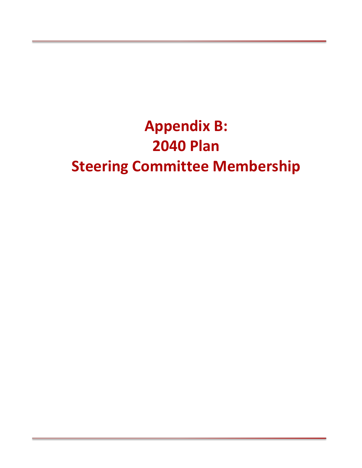# **Appendix B: 2040 Plan Steering Committee Membership**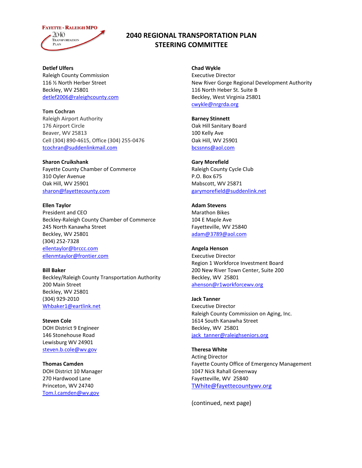## **FAYETTE - RALEIGH MPO** 2040 **TRANSPORTATION PLAN**

# **2040 REGIONAL TRANSPORTATION PLAN STEERING COMMITTEE**

**Detlef Ulfers**  Raleigh County Commission 116 ½ North Herber Street Beckley, WV 25801 [detlef2006@raleighcounty.com](https://mail.onepb.net/owa/redir.aspx?C=zaSPlq8BpEiAql0mDMggMUdFmIzEWtEIu0k6dSoHw_BoyHDIjbk07_E1UmP9WgaX2qRUYy3qgzs.&URL=mailto%3adetlef2006%40raleighcounty.com)

**Tom Cochran**  Raleigh Airport Authority 176 Airport Circle Beaver, WV 25813 Cell (304) 890-4615, Office (304) 255-0476 [tcochran@suddenlinkmail.com](https://mail.onepb.net/owa/redir.aspx?C=zaSPlq8BpEiAql0mDMggMUdFmIzEWtEIu0k6dSoHw_BoyHDIjbk07_E1UmP9WgaX2qRUYy3qgzs.&URL=mailto%3atcochran%40suddenlinkmail.com)

**Sharon Cruikshank**  Fayette County Chamber of Commerce 310 Oyler Avenue Oak Hill, WV 25901 [sharon@fayettecounty.com](https://mail.onepb.net/owa/redir.aspx?C=zaSPlq8BpEiAql0mDMggMUdFmIzEWtEIu0k6dSoHw_BoyHDIjbk07_E1UmP9WgaX2qRUYy3qgzs.&URL=mailto%3asharon%40fayettecounty.com)

**Ellen Taylor** President and CEO Beckley-Raleigh County Chamber of Commerce 245 North Kanawha Street Beckley, WV 25801 (304) 252-7328 [ellentaylor@brccc.com](https://mail.onepb.net/owa/redir.aspx?C=zaSPlq8BpEiAql0mDMggMUdFmIzEWtEIu0k6dSoHw_BoyHDIjbk07_E1UmP9WgaX2qRUYy3qgzs.&URL=mailto%3aellentaylor%40brccc.com) [ellenmtaylor@frontier.com](https://mail.onepb.net/owa/redir.aspx?C=zaSPlq8BpEiAql0mDMggMUdFmIzEWtEIu0k6dSoHw_BoyHDIjbk07_E1UmP9WgaX2qRUYy3qgzs.&URL=mailto%3aellenmtaylor%40frontier.com)

**Bill Baker**  Beckley/Raleigh County Transportation Authority 200 Main Street Beckley, WV 25801 (304) 929-2010 [Whbaker1@eartlink.net](https://mail.onepb.net/owa/redir.aspx?C=zaSPlq8BpEiAql0mDMggMUdFmIzEWtEIu0k6dSoHw_BoyHDIjbk07_E1UmP9WgaX2qRUYy3qgzs.&URL=mailto%3aWhbaker1%40eartlink.net)

**Steven Cole**  DOH District 9 Engineer 146 Stonehouse Road Lewisburg WV 24901 [steven.b.cole@wv.gov](https://mail.onepb.net/owa/redir.aspx?C=zaSPlq8BpEiAql0mDMggMUdFmIzEWtEIu0k6dSoHw_BoyHDIjbk07_E1UmP9WgaX2qRUYy3qgzs.&URL=mailto%3asteven.b.cole%40wv.gov)

**Thomas Camden**  DOH District 10 Manager 270 Hardwood Lane Princeton, WV 24740 [Tom.l.camden@wv.gov](https://mail.onepb.net/owa/redir.aspx?C=zaSPlq8BpEiAql0mDMggMUdFmIzEWtEIu0k6dSoHw_BoyHDIjbk07_E1UmP9WgaX2qRUYy3qgzs.&URL=mailto%3aTom.l.camden%40wv.gov)

**Chad Wykle** Executive Director New River Gorge Regional Development Authority 116 North Heber St. Suite B Beckley, West Virginia 25801 [cwykle@nrgrda.org](https://mail.onepb.net/owa/redir.aspx?C=zaSPlq8BpEiAql0mDMggMUdFmIzEWtEIu0k6dSoHw_BoyHDIjbk07_E1UmP9WgaX2qRUYy3qgzs.&URL=mailto%3acwykle%40nrgrda.org)

**Barney Stinnett**  Oak Hill Sanitary Board 100 Kelly Ave Oak Hill, WV 25901 [bcssnns@aol.com](https://mail.onepb.net/owa/redir.aspx?C=zaSPlq8BpEiAql0mDMggMUdFmIzEWtEIu0k6dSoHw_BoyHDIjbk07_E1UmP9WgaX2qRUYy3qgzs.&URL=mailto%3abcssnns%40aol.com)

**Gary Morefield** Raleigh County Cycle Club P.O. Box 675 Mabscott, WV 25871 [garymorefield@suddenlink.net](https://mail.onepb.net/owa/redir.aspx?C=zaSPlq8BpEiAql0mDMggMUdFmIzEWtEIu0k6dSoHw_BoyHDIjbk07_E1UmP9WgaX2qRUYy3qgzs.&URL=mailto%3agarymorefield%40suddenlink.net)

**Adam Stevens** Marathon Bikes 104 E Maple Ave Fayetteville, WV 25840 [adam@3789@aol.com](https://mail.onepb.net/owa/redir.aspx?C=zaSPlq8BpEiAql0mDMggMUdFmIzEWtEIu0k6dSoHw_BoyHDIjbk07_E1UmP9WgaX2qRUYy3qgzs.&URL=mailto%3aadam%403789%40aol.com)

**Angela Henson** Executive Director Region 1 Workforce Investment Board 200 New River Town Center, Suite 200 Beckley, WV 25801 [ahenson@r1workforcewv.org](mailto:ahenson@r1workforcewv.org)

**Jack Tanner** Executive Director Raleigh County Commission on Aging, Inc. 1614 South Kanawha Street Beckley, WV 25801 jack tanner@raleighseniors.org

**Theresa White** Acting Director Fayette County Office of Emergency Management 1047 Nick Rahall Greenway Fayetteville, WV 25840 [TWhite@fayettecountywv.org](mailto:TWhite@fayettecountywv.org)

(continued, next page)